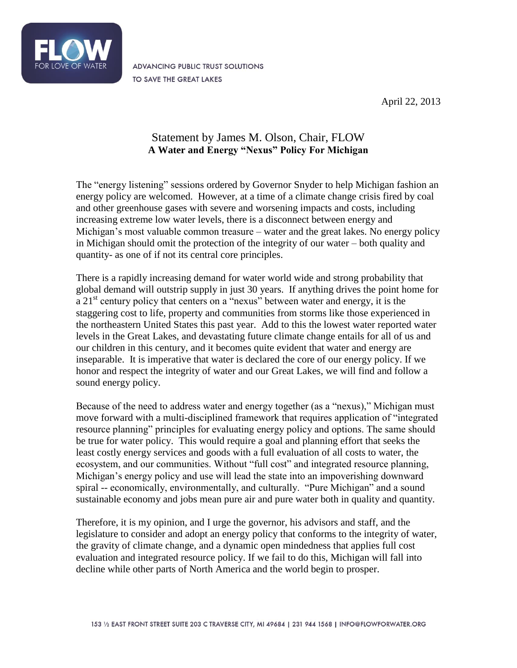

ADVANCING PUBLIC TRUST SOLUTIONS TO SAVE THE GREAT LAKES

April 22, 2013

## Statement by James M. Olson, Chair, FLOW **A Water and Energy "Nexus" Policy For Michigan**

The "energy listening" sessions ordered by Governor Snyder to help Michigan fashion an energy policy are welcomed. However, at a time of a climate change crisis fired by coal and other greenhouse gases with severe and worsening impacts and costs, including increasing extreme low water levels, there is a disconnect between energy and Michigan's most valuable common treasure – water and the great lakes. No energy policy in Michigan should omit the protection of the integrity of our water – both quality and quantity- as one of if not its central core principles.

There is a rapidly increasing demand for water world wide and strong probability that global demand will outstrip supply in just 30 years. If anything drives the point home for a  $21<sup>st</sup>$  century policy that centers on a "nexus" between water and energy, it is the staggering cost to life, property and communities from storms like those experienced in the northeastern United States this past year. Add to this the lowest water reported water levels in the Great Lakes, and devastating future climate change entails for all of us and our children in this century, and it becomes quite evident that water and energy are inseparable. It is imperative that water is declared the core of our energy policy. If we honor and respect the integrity of water and our Great Lakes, we will find and follow a sound energy policy.

Because of the need to address water and energy together (as a "nexus)," Michigan must move forward with a multi-disciplined framework that requires application of "integrated resource planning" principles for evaluating energy policy and options. The same should be true for water policy. This would require a goal and planning effort that seeks the least costly energy services and goods with a full evaluation of all costs to water, the ecosystem, and our communities. Without "full cost" and integrated resource planning, Michigan's energy policy and use will lead the state into an impoverishing downward spiral -- economically, environmentally, and culturally. "Pure Michigan" and a sound sustainable economy and jobs mean pure air and pure water both in quality and quantity.

Therefore, it is my opinion, and I urge the governor, his advisors and staff, and the legislature to consider and adopt an energy policy that conforms to the integrity of water, the gravity of climate change, and a dynamic open mindedness that applies full cost evaluation and integrated resource policy. If we fail to do this, Michigan will fall into decline while other parts of North America and the world begin to prosper.